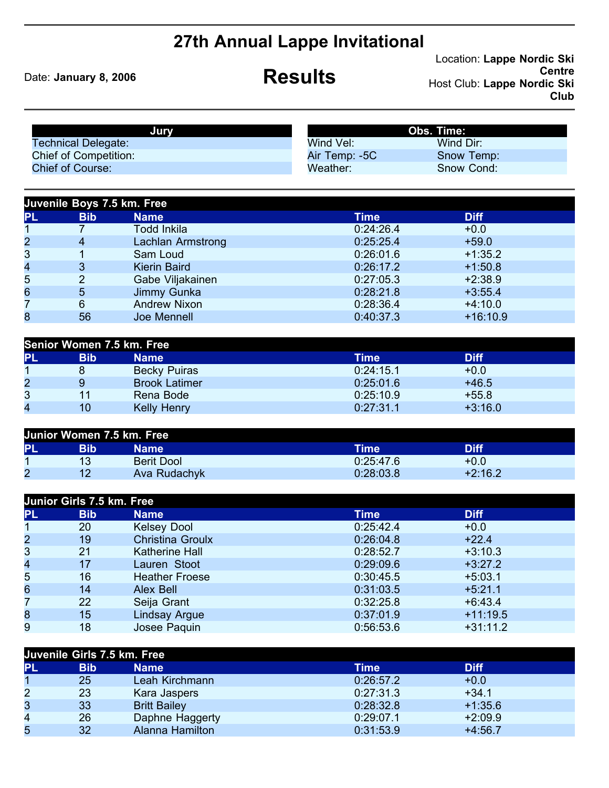## **27th Annual Lappe Invitational**

Date: **January 8, 2006 Results** 

Location: **Lappe Nordic Ski Centre** Host Club: **Lappe Nordic Ski Club**

| Jurv                         |               | <b>Obs. Time:</b> |
|------------------------------|---------------|-------------------|
| <b>Technical Delegate:</b>   | Wind Vel:     | Wind Dir:         |
| <b>Chief of Competition:</b> | Air Temp: -5C | Snow Temp:        |
| Chief of Course:             | Weather:      | Snow Cond:        |

|                | Juvenile Boys 7.5 km. Free |                     |           |             |  |  |  |  |  |  |
|----------------|----------------------------|---------------------|-----------|-------------|--|--|--|--|--|--|
| PL             | <b>Bib</b>                 | <b>Name</b>         | Time      | <b>Diff</b> |  |  |  |  |  |  |
|                |                            | Todd Inkila         | 0:24:26.4 | $+0.0$      |  |  |  |  |  |  |
| $\overline{c}$ | 4                          | Lachlan Armstrong   | 0:25:25.4 | $+59.0$     |  |  |  |  |  |  |
| 3              |                            | Sam Loud            | 0:26:01.6 | $+1:35.2$   |  |  |  |  |  |  |
| 4              | 3                          | <b>Kierin Baird</b> | 0:26:17.2 | $+1:50.8$   |  |  |  |  |  |  |
| 5              | 2                          | Gabe Viljakainen    | 0:27:05.3 | $+2:38.9$   |  |  |  |  |  |  |
| 6              | 5                          | Jimmy Gunka         | 0:28:21.8 | $+3:55.4$   |  |  |  |  |  |  |
| 7              | 6                          | <b>Andrew Nixon</b> | 0:28:36.4 | $+4:10.0$   |  |  |  |  |  |  |
| 8              | 56                         | Joe Mennell         | 0:40:37.3 | $+16:10.9$  |  |  |  |  |  |  |

| Senior Women 7.5 km. Free |            |                      |           |             |  |  |  |  |
|---------------------------|------------|----------------------|-----------|-------------|--|--|--|--|
| <b>PL</b>                 | <b>Bib</b> | <b>Name</b>          | Time'     | <b>Diff</b> |  |  |  |  |
|                           |            | <b>Becky Puiras</b>  | 0:24:15.1 | $+0.0$      |  |  |  |  |
| 2                         |            | <b>Brook Latimer</b> | 0:25:01.6 | $+46.5$     |  |  |  |  |
| 3                         | 11         | Rena Bode            | 0:25:10.9 | $+55.8$     |  |  |  |  |
| 4                         | 10         | <b>Kelly Henry</b>   | 0:27:31.1 | $+3:16.0$   |  |  |  |  |

| Junior Women 7.5 km. Free |     |                   |           |             |  |  |  |
|---------------------------|-----|-------------------|-----------|-------------|--|--|--|
| PL                        | Bib | Name              | Time      | <b>Diff</b> |  |  |  |
|                           | 13  | <b>Berit Dool</b> | 0:25:47.6 | $+0.0$      |  |  |  |
| 2                         | 12  | Ava Rudachyk      | 0:28:03.8 | $+2:16.2$   |  |  |  |

| Junior Girls 7.5 km. Free |            |                         |             |             |  |  |  |
|---------------------------|------------|-------------------------|-------------|-------------|--|--|--|
| <b>PL</b>                 | <b>Bib</b> | <b>Name</b>             | <b>Time</b> | <b>Diff</b> |  |  |  |
| $\mathbf 1$               | 20         | <b>Kelsey Dool</b>      | 0:25:42.4   | $+0.0$      |  |  |  |
| $\overline{2}$            | 19         | <b>Christina Groulx</b> | 0:26:04.8   | $+22.4$     |  |  |  |
| 3                         | 21         | <b>Katherine Hall</b>   | 0:28:52.7   | $+3:10.3$   |  |  |  |
| 4                         | 17         | Lauren Stoot            | 0:29:09.6   | $+3:27.2$   |  |  |  |
| 5                         | 16         | <b>Heather Froese</b>   | 0:30:45.5   | $+5:03.1$   |  |  |  |
| 6                         | 14         | Alex Bell               | 0:31:03.5   | $+5:21.1$   |  |  |  |
| 7                         | 22         | Seija Grant             | 0:32:25.8   | $+6:43.4$   |  |  |  |
| 8                         | 15         | <b>Lindsay Argue</b>    | 0:37:01.9   | $+11:19.5$  |  |  |  |
| 9                         | 18         | Josee Paquin            | 0:56:53.6   | $+31:11.2$  |  |  |  |
|                           |            |                         |             |             |  |  |  |

| Juvenile Girls 7.5 km. Free |            |                        |           |             |  |  |  |  |
|-----------------------------|------------|------------------------|-----------|-------------|--|--|--|--|
| <b>PL</b>                   | <b>Bib</b> | <b>Name</b>            | Time      | <b>Diff</b> |  |  |  |  |
|                             | 25         | Leah Kirchmann         | 0:26:57.2 | $+0.0$      |  |  |  |  |
| $\overline{2}$              | 23         | Kara Jaspers           | 0:27:31.3 | $+34.1$     |  |  |  |  |
| 3                           | 33         | <b>Britt Bailey</b>    | 0:28:32.8 | $+1:35.6$   |  |  |  |  |
| $\overline{4}$              | 26         | Daphne Haggerty        | 0:29:07.1 | $+2:09.9$   |  |  |  |  |
| 5                           | 32         | <b>Alanna Hamilton</b> | 0:31:53.9 | $+4:56.7$   |  |  |  |  |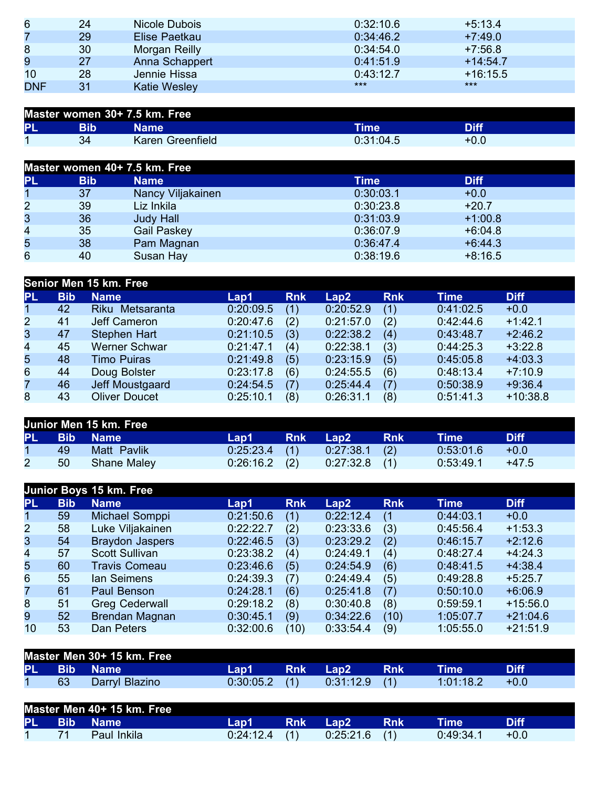| 6          | 24 | Nicole Dubois  | 0:32:10.6 | $+5:13.4$  |
|------------|----|----------------|-----------|------------|
| 7          | 29 | Elise Paetkau  | 0:34:46.2 | $+7:49.0$  |
| 8          | 30 | Morgan Reilly  | 0:34:54.0 | $+7:56.8$  |
| 9          | 27 | Anna Schappert | 0:41:51.9 | $+14:54.7$ |
| 10         | 28 | Jennie Hissa   | 0:43:12.7 | $+16:15.5$ |
| <b>DNF</b> | 31 | Katie Wesley   | $***$     | $***$      |

| Master women 30+ 7.5 km. Free |     |                  |           |             |  |  |
|-------------------------------|-----|------------------|-----------|-------------|--|--|
| PL                            | Bib | Name             | Time      | <b>Diff</b> |  |  |
|                               | 34  | Karen Greenfield | 0:31:04.5 | +0.0        |  |  |

|                         |            | Master women 40+ 7.5 km. Free |           |             |  |
|-------------------------|------------|-------------------------------|-----------|-------------|--|
| PL                      | <b>Bib</b> | <b>Name</b>                   | Time      | <b>Diff</b> |  |
| 1                       | 37         | Nancy Viljakainen             | 0:30:03.1 | $+0.0$      |  |
| $\overline{2}$          | 39         | Liz Inkila                    | 0:30:23.8 | $+20.7$     |  |
| 3                       | 36         | <b>Judy Hall</b>              | 0:31:03.9 | $+1:00.8$   |  |
| $\overline{\mathbf{4}}$ | 35         | Gail Paskey                   | 0:36:07.9 | $+6:04.8$   |  |
| 5                       | 38         | Pam Magnan                    | 0:36:47.4 | $+6:44.3$   |  |
| 6                       | 40         | Susan Hay                     | 0:38:19.6 | $+8:16.5$   |  |

|                | Senior Men 15 km. Free |                      |           |            |           |            |             |             |  |  |
|----------------|------------------------|----------------------|-----------|------------|-----------|------------|-------------|-------------|--|--|
| <b>PL</b>      | <b>Bib</b>             | <b>Name</b>          | Lap1      | <b>Rnk</b> | Lap2      | <b>Rnk</b> | <b>Time</b> | <b>Diff</b> |  |  |
| $\mathbf 1$    | 42                     | Riku Metsaranta      | 0:20:09.5 | (1)        | 0:20:52.9 | (1)        | 0:41:02.5   | $+0.0$      |  |  |
| $\overline{2}$ | 41                     | Jeff Cameron         | 0:20:47.6 | (2)        | 0:21:57.0 | (2)        | 0:42:44.6   | $+1:42.1$   |  |  |
| 3              | 47                     | <b>Stephen Hart</b>  | 0:21:10.5 | (3)        | 0:22:38.2 | (4)        | 0:43:48.7   | $+2:46.2$   |  |  |
| 4              | 45                     | <b>Werner Schwar</b> | 0:21:47.1 | (4)        | 0:22:38.1 | (3)        | 0:44:25.3   | $+3:22.8$   |  |  |
| 5              | 48                     | <b>Timo Puiras</b>   | 0:21:49.8 | (5)        | 0:23:15.9 | (5)        | 0:45:05.8   | $+4:03.3$   |  |  |
| 6              | 44                     | Doug Bolster         | 0:23:17.8 | (6)        | 0:24:55.5 | (6)        | 0:48:13.4   | $+7:10.9$   |  |  |
| $\overline{7}$ | 46                     | Jeff Moustgaard      | 0:24:54.5 | (7)        | 0:25:44.4 | (7)        | 0:50:38.9   | $+9:36.4$   |  |  |
| 8              | 43                     | <b>Oliver Doucet</b> | 0:25:10.1 | (8)        | 0:26:31.1 | (8)        | 0:51:41.3   | $+10:38.8$  |  |  |

| Junior Men 15 km. Free |    |             |                 |            |                 |            |           |             |  |
|------------------------|----|-------------|-----------------|------------|-----------------|------------|-----------|-------------|--|
|                        |    | PL Bib Name | Lap1            | <b>Rnk</b> | Lap2            | <b>Rnk</b> | Time'     | <b>Diff</b> |  |
|                        | 49 | Matt Pavlik | $0:25:23.4$ (1) |            | $0:27:38.1$ (2) |            | 0:53:01.6 | $+0.0$      |  |
|                        | 50 | Shane Maley | $0:26:16.2$ (2) |            | $0:27:32.8$ (1) |            | 0:53:49.1 | $+47.5$     |  |

|                |            | Junior Boys 15 km. Free |           |            |           |            |             |             |
|----------------|------------|-------------------------|-----------|------------|-----------|------------|-------------|-------------|
| <b>PL</b>      | <b>Bib</b> | <b>Name</b>             | Lap1      | <b>Rnk</b> | Lap2      | <b>Rnk</b> | <b>Time</b> | <b>Diff</b> |
| $\mathbf 1$    | 59         | Michael Somppi          | 0:21:50.6 | (1)        | 0:22:12.4 | (1)        | 0:44:03.1   | $+0.0$      |
| $\overline{2}$ | 58         | Luke Viljakainen        | 0:22:22.7 | (2)        | 0:23:33.6 | (3)        | 0:45:56.4   | $+1:53.3$   |
| 3              | 54         | <b>Braydon Jaspers</b>  | 0:22:46.5 | (3)        | 0:23:29.2 | (2)        | 0:46:15.7   | $+2:12.6$   |
| $\overline{4}$ | 57         | <b>Scott Sullivan</b>   | 0:23:38.2 | (4)        | 0:24:49.1 | (4)        | 0:48:27.4   | $+4:24.3$   |
| 5              | 60         | <b>Travis Comeau</b>    | 0:23:46.6 | (5)        | 0:24:54.9 | (6)        | 0:48:41.5   | $+4:38.4$   |
| 6              | 55         | lan Seimens             | 0:24:39.3 | (7)        | 0:24:49.4 | (5)        | 0:49:28.8   | $+5:25.7$   |
| $\overline{7}$ | 61         | Paul Benson             | 0:24:28.1 | (6)        | 0:25:41.8 | (7)        | 0:50:10.0   | $+6:06.9$   |
| 8              | 51         | <b>Greg Cederwall</b>   | 0:29:18.2 | (8)        | 0:30:40.8 | (8)        | 0:59:59.1   | $+15:56.0$  |
| 9              | 52         | Brendan Magnan          | 0:30:45.1 | (9)        | 0:34:22.6 | (10)       | 1:05:07.7   | $+21:04.6$  |
| 10             | 53         | Dan Peters              | 0:32:00.6 | (10)       | 0:33:54.4 | (9)        | 1:05:55.0   | $+21:51.9$  |
|                |            |                         |           |            |           |            |             |             |

| Master Men 30+ 15 km. Free |                |                 |  |                     |       |           |        |
|----------------------------|----------------|-----------------|--|---------------------|-------|-----------|--------|
|                            | PL Bib Name    | Lap1 I          |  | Rnk Lap2 <b>Mar</b> | – Rnk | Time !    |        |
| 63                         | Darryl Blazino | $0:30:05.2$ (1) |  | $0:31:12.9$ (1)     |       | 1:01:18.2 | $+0.0$ |

| Master Men 40+ 15 km. Free |  |             |           |            |                   |      |           |        |
|----------------------------|--|-------------|-----------|------------|-------------------|------|-----------|--------|
| PL Bib                     |  | <b>Name</b> | Lap1      | <b>Rnk</b> | Lan2 <sup>1</sup> | 'Rnk | Time      |        |
|                            |  | Paul Inkila | 0:24:12.4 | (1)        | 0:25:21.6         |      | 0:49:34.7 | $+0.0$ |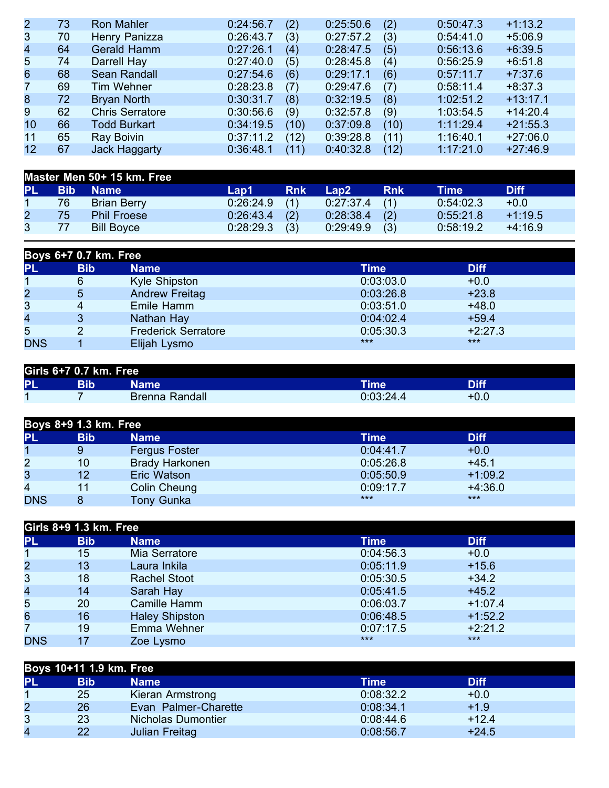| 73 | <b>Ron Mahler</b>      | 0:24:56.7 | (2)  | 0:25:50.6 | (2)  | 0:50:47.3 | $+1:13.2$  |
|----|------------------------|-----------|------|-----------|------|-----------|------------|
| 70 | Henry Panizza          | 0:26:43.7 | (3)  | 0:27:57.2 | (3)  | 0:54:41.0 | $+5:06.9$  |
| 64 | <b>Gerald Hamm</b>     | 0:27:26.1 | (4)  | 0:28:47.5 | (5)  | 0:56:13.6 | $+6:39.5$  |
| 74 | Darrell Hay            | 0:27:40.0 | (5)  | 0:28:45.8 | (4)  | 0:56:25.9 | $+6:51.8$  |
| 68 | <b>Sean Randall</b>    | 0:27:54.6 | (6)  | 0:29:17.1 | (6)  | 0:57:11.7 | $+7:37.6$  |
| 69 | Tim Wehner             | 0:28:23.8 | (7)  | 0:29:47.6 | (7)  | 0:58:11.4 | $+8:37.3$  |
| 72 | <b>Bryan North</b>     | 0:30:31.7 | (8)  | 0:32:19.5 | (8)  | 1:02:51.2 | $+13:17.1$ |
| 62 | <b>Chris Serratore</b> | 0:30:56.6 | (9)  | 0:32:57.8 | (9)  | 1:03:54.5 | $+14:20.4$ |
| 66 | <b>Todd Burkart</b>    | 0:34:19.5 | (10) | 0:37:09.8 | (10) | 1:11:29.4 | $+21:55.3$ |
| 65 | Ray Boivin             | 0:37:11.2 | (12) | 0:39:28.8 | (11) | 1:16:40.1 | $+27:06.0$ |
| 67 | <b>Jack Haggarty</b>   | 0:36:48.1 | (11) | 0:40:32.8 | (12) | 1:17:21.0 | $+27:46.9$ |
|    |                        |           |      |           |      |           |            |

|           | Master Men 50+ 15 km. Free |                    |                 |            |                 |            |           |             |
|-----------|----------------------------|--------------------|-----------------|------------|-----------------|------------|-----------|-------------|
| <b>PL</b> |                            | <b>Bib</b> Name    | Lap1            | <b>Rnk</b> | Lap2 \          | <b>Rnk</b> | Time      | <b>Diff</b> |
|           | 76                         | <b>Brian Berry</b> | $0:26:24.9$ (1) |            | $0:27:37.4$ (1) |            | 0:54:02.3 | $+0.0$      |
|           | 75.                        | <b>Phil Froese</b> | $0:26:43.4$ (2) |            | $0:28:38.4$ (2) |            | 0:55:21.8 | $+1:19.5$   |
|           | 77                         | <b>Bill Boyce</b>  | $0:28:29.3$ (3) |            | $0:29:49.9$ (3) |            | 0:58:19.2 | $+4:16.9$   |

|                | Boys 6+7 0.7 km. Free |                            |           |             |  |  |  |
|----------------|-----------------------|----------------------------|-----------|-------------|--|--|--|
| <b>PL</b>      | <b>Bib</b>            | <b>Name</b>                | Time      | <b>Diff</b> |  |  |  |
|                | 6                     | <b>Kyle Shipston</b>       | 0:03:03.0 | $+0.0$      |  |  |  |
| $\overline{2}$ | 5                     | <b>Andrew Freitag</b>      | 0:03:26.8 | $+23.8$     |  |  |  |
| 3              |                       | Emile Hamm                 | 0:03:51.0 | $+48.0$     |  |  |  |
| 4              |                       | Nathan Hay                 | 0:04:02.4 | $+59.4$     |  |  |  |
| 5              |                       | <b>Frederick Serratore</b> | 0:05:30.3 | $+2:27.3$   |  |  |  |
| <b>DNS</b>     |                       | Elijah Lysmo               | $***$     | $***$       |  |  |  |

| Girls 6+7 0.7 km. Free |     |                |             |             |  |  |
|------------------------|-----|----------------|-------------|-------------|--|--|
| PL                     | Bib | Name'          | <b>Time</b> | <b>Diff</b> |  |  |
|                        |     | Brenna Randall | 0:03:24.4   | $+0.0$      |  |  |

|                | Boys 8+9 1.3 km. Free |                       |           |             |  |  |  |
|----------------|-----------------------|-----------------------|-----------|-------------|--|--|--|
| PL             | <b>Bib</b>            | Name                  | Time      | <b>Diff</b> |  |  |  |
|                |                       | <b>Fergus Foster</b>  | 0:04:41.7 | $+0.0$      |  |  |  |
| $\overline{2}$ | 10                    | <b>Brady Harkonen</b> | 0:05:26.8 | $+45.1$     |  |  |  |
| 3              | 12                    | Eric Watson           | 0:05:50.9 | $+1:09.2$   |  |  |  |
| 4              | 11                    | Colin Cheung          | 0:09:17.7 | $+4:36.0$   |  |  |  |
| <b>DNS</b>     |                       | <b>Tony Gunka</b>     | $***$     | ***         |  |  |  |

|                | Girls 8+9 1.3 km. Free |                       |           |             |  |  |  |
|----------------|------------------------|-----------------------|-----------|-------------|--|--|--|
| <b>PL</b>      | <b>Bib</b>             | <b>Name</b>           | Time      | <b>Diff</b> |  |  |  |
|                | 15                     | Mia Serratore         | 0:04:56.3 | $+0.0$      |  |  |  |
| $\overline{2}$ | 13                     | Laura Inkila          | 0:05:11.9 | $+15.6$     |  |  |  |
| 3              | 18                     | <b>Rachel Stoot</b>   | 0:05:30.5 | $+34.2$     |  |  |  |
| 4              | 14                     | Sarah Hay             | 0:05:41.5 | $+45.2$     |  |  |  |
| 5              | 20                     | Camille Hamm          | 0:06:03.7 | $+1:07.4$   |  |  |  |
| 6              | 16                     | <b>Haley Shipston</b> | 0:06:48.5 | $+1:52.2$   |  |  |  |
| 7              | 19                     | Emma Wehner           | 0:07:17.5 | $+2:21.2$   |  |  |  |
| <b>DNS</b>     | 17                     | Zoe Lysmo             | $***$     | $***$       |  |  |  |

|                | Boys 10+11 1.9 km. Free |                           |           |             |  |  |  |  |
|----------------|-------------------------|---------------------------|-----------|-------------|--|--|--|--|
| <b>PL</b>      | <b>Bib</b>              | Name                      | Time      | <b>Diff</b> |  |  |  |  |
|                | 25                      | Kieran Armstrong          | 0:08:32.2 | $+0.0$      |  |  |  |  |
| $\overline{2}$ | 26                      | Evan Palmer-Charette      | 0:08:34.1 | $+1.9$      |  |  |  |  |
| 3              | 23                      | <b>Nicholas Dumontier</b> | 0:08:44.6 | $+12.4$     |  |  |  |  |
| 4              | 22                      | Julian Freitag            | 0:08:56.7 | $+24.5$     |  |  |  |  |